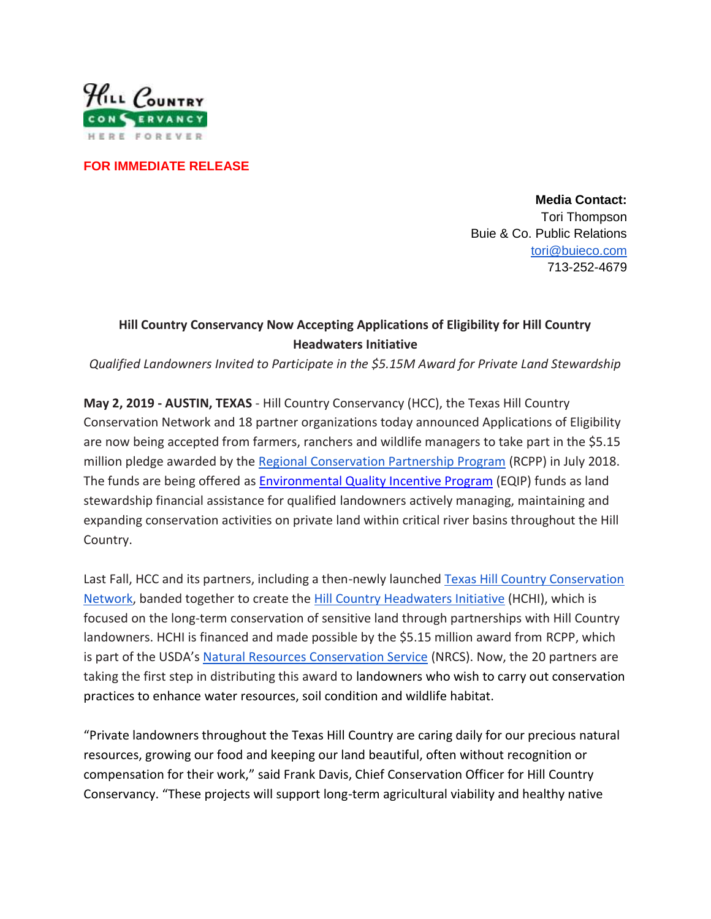

**FOR IMMEDIATE RELEASE**

**Media Contact:** Tori Thompson Buie & Co. Public Relations [tori@buieco.com](mailto:tori@buieco.com) 713-252-4679

## **Hill Country Conservancy Now Accepting Applications of Eligibility for Hill Country Headwaters Initiative**

*Qualified Landowners Invited to Participate in the \$5.15M Award for Private Land Stewardship*

**May 2, 2019 - AUSTIN, TEXAS** - Hill Country Conservancy (HCC), the Texas Hill Country Conservation Network and 18 partner organizations today announced Applications of Eligibility are now being accepted from farmers, ranchers and wildlife managers to take part in the \$5.15 million pledge awarded by the [Regional Conservation Partnership Program](https://www.nrcs.usda.gov/wps/portal/nrcs/main/national/programs/farmbill/rcpp/) (RCPP) in July 2018. The funds are being offered as **Environmental Quality Incentive Program** (EQIP) funds as land stewardship financial assistance for qualified landowners actively managing, maintaining and expanding conservation activities on private land within critical river basins throughout the Hill Country.

Last Fall, HCC and its partners, including a then-newly launched [Texas Hill Country Conservation](https://hillcountryconservancy.org/wp-content/uploads/2019/01/THCCN.pdf)  [Network,](https://hillcountryconservancy.org/wp-content/uploads/2019/01/THCCN.pdf) banded together to create the [Hill Country Headwaters Initiative](https://hillcountryconservancy.org/hchi/) (HCHI), which is focused on the long-term conservation of sensitive land through partnerships with Hill Country landowners. HCHI is financed and made possible by the \$5.15 million award from RCPP, which is part of the USDA's [Natural Resources Conservation Service](https://hillcountryconservancy.org/hchi/#NRCS) (NRCS). Now, the 20 partners are taking the first step in distributing this award to landowners who wish to carry out conservation practices to enhance water resources, soil condition and wildlife habitat.

"Private landowners throughout the Texas Hill Country are caring daily for our precious natural resources, growing our food and keeping our land beautiful, often without recognition or compensation for their work," said Frank Davis, Chief Conservation Officer for Hill Country Conservancy. "These projects will support long-term agricultural viability and healthy native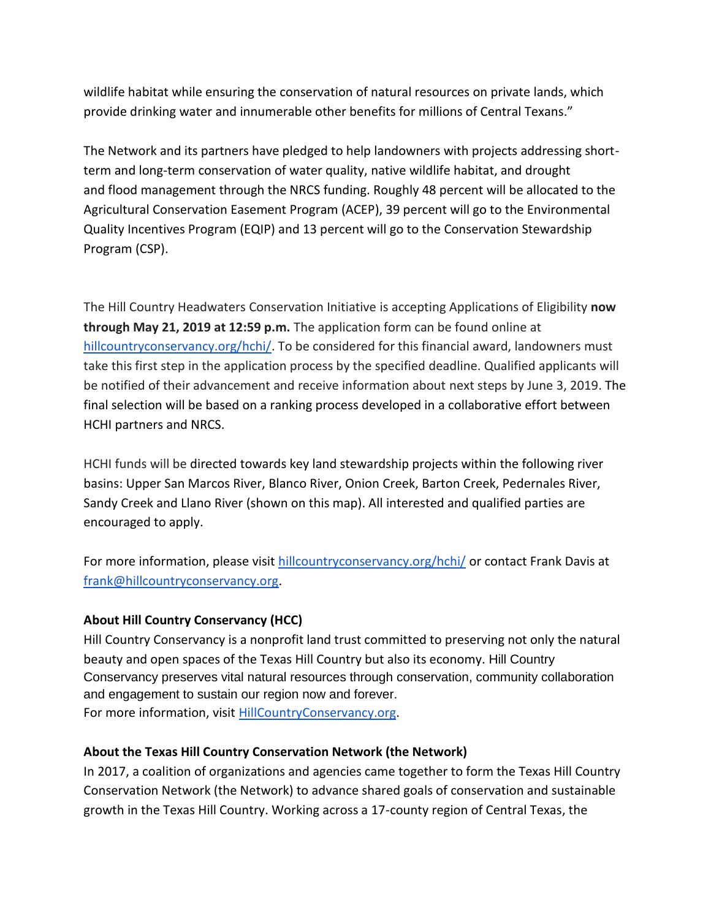wildlife habitat while ensuring the conservation of natural resources on private lands, which provide drinking water and innumerable other benefits for millions of Central Texans."

The Network and its partners have pledged to help landowners with projects addressing shortterm and long-term conservation of water quality, native wildlife habitat, and drought and flood management through the NRCS funding. Roughly 48 percent will be allocated to the Agricultural Conservation Easement Program (ACEP), 39 percent will go to the Environmental Quality Incentives Program (EQIP) and 13 percent will go to the Conservation Stewardship Program (CSP).

The Hill Country Headwaters Conservation Initiative is accepting Applications of Eligibility **now through May 21, 2019 at 12:59 p.m.** The application form can be found online at [hillcountryconservancy.org/hchi/.](https://hillcountryconservancy.org/hchi/) To be considered for this financial award, landowners must take this first step in the application process by the specified deadline. Qualified applicants will be notified of their advancement and receive information about next steps by June 3, 2019. The final selection will be based on a ranking process developed in a collaborative effort between HCHI partners and NRCS.

HCHI funds will be directed towards key land stewardship projects within the following river basins: Upper San Marcos River, Blanco River, Onion Creek, Barton Creek, Pedernales River, Sandy Creek and Llano River (shown on this map). All interested and qualified parties are encouraged to apply.

For more information, please visit [hillcountryconservancy.org/hchi/](https://hillcountryconservancy.org/hchi/) or contact Frank Davis at [frank@hillcountryconservancy.org.](mailto:frank@hillcountryconservancy.org)

## **About Hill Country Conservancy (HCC)**

Hill Country Conservancy is a nonprofit land trust committed to preserving not only the natural beauty and open spaces of the Texas Hill Country but also its economy. Hill Country Conservancy preserves vital natural resources through conservation, community collaboration and engagement to sustain our region now and forever. For more information, visit [HillCountryConservancy.org.](https://hillcountryconservancy.org/)

## **About the Texas Hill Country Conservation Network (the Network)**

In 2017, a coalition of organizations and agencies came together to form the Texas Hill Country Conservation Network (the Network) to advance shared goals of conservation and sustainable growth in the Texas Hill Country. Working across a 17-county region of Central Texas, the